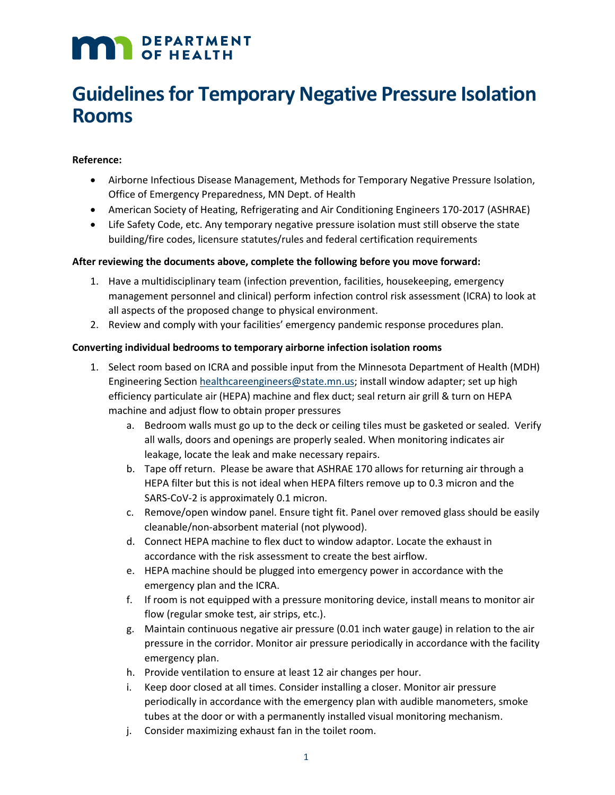# **MAN** DEPARTMENT

# **Guidelines for Temporary Negative Pressure Isolation Rooms**

## **Reference:**

- Airborne Infectious Disease Management, Methods for Temporary Negative Pressure Isolation, Office of Emergency Preparedness, MN Dept. of Health
- American Society of Heating, Refrigerating and Air Conditioning Engineers 170-2017 (ASHRAE)
- Life Safety Code, etc. Any temporary negative pressure isolation must still observe the state building/fire codes, licensure statutes/rules and federal certification requirements

### **After reviewing the documents above, complete the following before you move forward:**

- 1. Have a multidisciplinary team (infection prevention, facilities, housekeeping, emergency management personnel and clinical) perform infection control risk assessment (ICRA) to look at all aspects of the proposed change to physical environment.
- 2. Review and comply with your facilities' emergency pandemic response procedures plan.

### **Converting individual bedrooms to temporary airborne infection isolation rooms**

- 1. Select room based on ICRA and possible input from the Minnesota Department of Health (MDH) Engineering Section [healthcareengineers@state.mn.us;](mailto:healthcareengineers@state.mn.us) install window adapter; set up high efficiency particulate air (HEPA) machine and flex duct; seal return air grill & turn on HEPA machine and adjust flow to obtain proper pressures
	- a. Bedroom walls must go up to the deck or ceiling tiles must be gasketed or sealed. Verify all walls, doors and openings are properly sealed. When monitoring indicates air leakage, locate the leak and make necessary repairs.
	- b. Tape off return. Please be aware that ASHRAE 170 allows for returning air through a HEPA filter but this is not ideal when HEPA filters remove up to 0.3 micron and the SARS-CoV-2 is approximately 0.1 micron.
	- c. Remove/open window panel. Ensure tight fit. Panel over removed glass should be easily cleanable/non-absorbent material (not plywood).
	- d. Connect HEPA machine to flex duct to window adaptor. Locate the exhaust in accordance with the risk assessment to create the best airflow.
	- e. HEPA machine should be plugged into emergency power in accordance with the emergency plan and the ICRA.
	- f. If room is not equipped with a pressure monitoring device, install means to monitor air flow (regular smoke test, air strips, etc.).
	- g. Maintain continuous negative air pressure (0.01 inch water gauge) in relation to the air pressure in the corridor. Monitor air pressure periodically in accordance with the facility emergency plan.
	- h. Provide ventilation to ensure at least 12 air changes per hour.
	- i. Keep door closed at all times. Consider installing a closer. Monitor air pressure periodically in accordance with the emergency plan with audible manometers, smoke tubes at the door or with a permanently installed visual monitoring mechanism.
	- j. Consider maximizing exhaust fan in the toilet room.